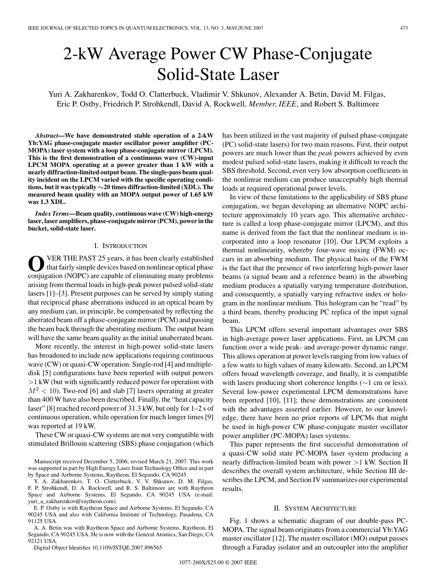# 2-kW Average Power CW Phase-Conjugate Solid-State Laser

Yuri A. Zakharenkov, Todd O. Clatterbuck, Vladimir V. Shkunov, Alexander A. Betin, David M. Filgas, Eric P. Ostby, Friedrich P. Strohkendl, David A. Rockwell*, Member, IEEE*, and Robert S. Baltimore

*Abstract***—We have demonstrated stable operation of a 2-kW Yb:YAG phase-conjugate master oscillator power amplifier (PC-MOPA) laser system with a loop phase-conjugate mirror (LPCM). This is the first demonstration of a continuous wave (CW)-input LPCM MOPA operating at a power greater than 1 kW with a nearly diffraction-limited output beam. The single-pass beam quality incident on the LPCM varied with the specific operating conditions, but it was typically** *∼***20 times diffraction-limited (XDL). The measured beam quality with an MOPA output power of 1.65 kW was 1.3 XDL.**

*Index Terms***—Beam quality, continuous wave (CW) high-energy laser, laser amplifiers, phase-conjugate mirror (PCM), power in the bucket, solid-state laser.**

### I. INTRODUCTION

**O**VER THE PAST 25 years, it has been clearly established<br>that fairly simple devices based on nonlinear optical phase<br>conjugation (NOPC) are canable of eliminating many problems conjugation (NOPC) are capable of eliminating many problems arising from thermal loads in high-peak power pulsed solid-state lasers [1]–[3]. Present purposes can be served by simply stating that reciprocal phase aberrations induced in an optical beam by any medium can, in principle, be compensated by reflecting the aberrated beam off a phase-conjugate mirror (PCM) and passing the beam back through the aberrating medium. The output beam will have the same beam quality as the initial unaberrated beam.

More recently, the interest in high-power solid-state lasers has broadened to include new applications requiring continuous wave (CW) or quasi-CW operation. Single-rod [4] and multipledisk [5] configurations have been reported with output powers >1 kW (but with significantly reduced power for operation with  $M^2$  < 10). Two-rod [6] and slab [7] lasers operating at greater than 400 W have also been described. Finally, the "heat capacity laser" [8] reached record power of 31.3 kW, but only for 1–2 s of continuous operation, while operation for much longer times [9] was reported at 19 kW.

These CW or quasi-CW systems are not very compatible with stimulated Brillouin scattering (SBS) phase conjugation (which

Manuscript received December 5, 2006; revised March 21, 2007. This work was supported in part by High Energy Laser Joint Technology Office and in part by Space and Airborne Systems, Raytheon, El Segundo, CA 90245.

Y. A. Zakharenkov, T. O. Clatterbuck, V. V. Shkunov, D. M. Filgas, F. P. Strohkendl, D. A. Rockwell, and R. S. Baltimore are with Raytheon Space and Airborne Systems, El Segundo, CA 90245 USA (e-mail: yuri\_a\_zakharenkov@raytheon.com).

E. P. Ostby is with Raytheon Space and Airborne Systems, El Segundo, CA 90245 USA and also with California Institute of Technology, Pasadena, CA 91125 USA.

A. A. Betin was with Raytheon Space and Airborne Systems, Raytheon, El Segundo, CA 90245 USA. He is now with the General Atomics, San Diego, CA 92121 USA.

Digital Object Identifier 10.1109/JSTQE.2007.896565

has been utilized in the vast majority of pulsed phase-conjugate (PC) solid-state lasers) for two main reasons. First, their output powers are much lower than the *peak* powers achieved by even modest pulsed solid-state lasers, making it difficult to reach the SBS threshold. Second, even very low absorption coefficients in the nonlinear medium can produce unacceptably high thermal loads at required operational power levels.

In view of these limitations to the applicability of SBS phase conjugation, we began developing an alternative NOPC architecture approximately 10 years ago. This alternative architecture is called a loop phase-conjugate mirror (LPCM), and this name is derived from the fact that the nonlinear medium is incorporated into a loop resonator [10]. Our LPCM exploits a thermal nonlinearity, whereby four-wave mixing (FWM) occurs in an absorbing medium. The physical basis of the FWM is the fact that the presence of two interfering high-power laser beams (a signal beam and a reference beam) in the absorbing medium produces a spatially varying temperature distribution, and consequently, a spatially varying refractive index or hologram in the nonlinear medium. This hologram can be "read" by a third beam, thereby producing PC replica of the input signal beam.

This LPCM offers several important advantages over SBS in high-average power laser applications. First, an LPCM can function over a wide peak- and average-power dynamic range. This allows operation at power levels ranging from low values of a few watts to high values of many kilowatts. Second, an LPCM offers broad wavelength coverage, and finally, it is compatible with lasers producing short coherence lengths (∼1 cm or less). Several low-power experimental LPCM demonstrations have been reported [10], [11]; these demonstrations are consistent with the advantages asserted earlier. However, to our knowledge, there have been no prior reports of LPCMs that might be used in high-power CW phase-conjugate master oscillator power amplifier (PC-MOPA) laser systems.

This paper represents the first successful demonstration of a quasi-CW solid state PC-MOPA laser system producing a nearly diffraction-limited beam with power  $>1$  kW. Section II describes the overall system architecture, while Section III describes the LPCM, and Section IV summarizes our experimental results.

## II. SYSTEM ARCHITECTURE

Fig. 1 shows a schematic diagram of our double-pass PC-MOPA. The signal beam originates from a commercial Yb:YAG master oscillator [12]. The master oscillator (MO) output passes through a Faraday isolator and an outcoupler into the amplifier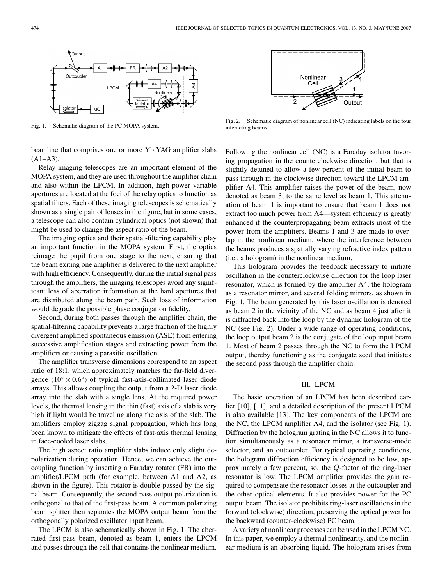

Fig. 1. Schematic diagram of the PC MOPA system.

beamline that comprises one or more Yb:YAG amplifier slabs  $(A1–A3)$ .

Relay-imaging telescopes are an important element of the MOPA system, and they are used throughout the amplifier chain and also within the LPCM. In addition, high-power variable apertures are located at the foci of the relay optics to function as spatial filters. Each of these imaging telescopes is schematically shown as a single pair of lenses in the figure, but in some cases, a telescope can also contain cylindrical optics (not shown) that might be used to change the aspect ratio of the beam.

The imaging optics and their spatial-filtering capability play an important function in the MOPA system. First, the optics reimage the pupil from one stage to the next, ensuring that the beam exiting one amplifier is delivered to the next amplifier with high efficiency. Consequently, during the initial signal pass through the amplifiers, the imaging telescopes avoid any significant loss of aberration information at the hard apertures that are distributed along the beam path. Such loss of information would degrade the possible phase conjugation fidelity.

Second, during both passes through the amplifier chain, the spatial-filtering capability prevents a large fraction of the highly divergent amplified spontaneous emission (ASE) from entering successive amplification stages and extracting power from the amplifiers or causing a parasitic oscillation.

The amplifier transverse dimensions correspond to an aspect ratio of 18:1, which approximately matches the far-field divergence  $(10° \times 0.6°)$  of typical fast-axis-collimated laser diode arrays. This allows coupling the output from a 2-D laser diode array into the slab with a single lens. At the required power levels, the thermal lensing in the thin (fast) axis of a slab is very high if light would be traveling along the axis of the slab. The amplifiers employ zigzag signal propagation, which has long been known to mitigate the effects of fast-axis thermal lensing in face-cooled laser slabs.

The high aspect ratio amplifier slabs induce only slight depolarization during operation. Hence, we can achieve the outcoupling function by inserting a Faraday rotator (FR) into the amplifier/LPCM path (for example, between A1 and A2, as shown in the figure). This rotator is double-passed by the signal beam. Consequently, the second-pass output polarization is orthogonal to that of the first-pass beam. A common polarizing beam splitter then separates the MOPA output beam from the orthogonally polarized oscillator input beam.

The LPCM is also schematically shown in Fig. 1. The aberrated first-pass beam, denoted as beam 1, enters the LPCM and passes through the cell that contains the nonlinear medium.



Fig. 2. Schematic diagram of nonlinear cell (NC) indicating labels on the four interacting beams.

Following the nonlinear cell (NC) is a Faraday isolator favoring propagation in the counterclockwise direction, but that is slightly detuned to allow a few percent of the initial beam to pass through in the clockwise direction toward the LPCM amplifier A4. This amplifier raises the power of the beam, now denoted as beam 3, to the same level as beam 1. This attenuation of beam 1 is important to ensure that beam 1 does not extract too much power from A4—system efficiency is greatly enhanced if the counterpropagating beam extracts most of the power from the amplifiers. Beams 1 and 3 are made to overlap in the nonlinear medium, where the interference between the beams produces a spatially varying refractive index pattern (i.e., a hologram) in the nonlinear medium.

This hologram provides the feedback necessary to initiate oscillation in the counterclockwise direction for the loop laser resonator, which is formed by the amplifier A4, the hologram as a resonator mirror, and several folding mirrors, as shown in Fig. 1. The beam generated by this laser oscillation is denoted as beam 2 in the vicinity of the NC and as beam 4 just after it is diffracted back into the loop by the dynamic hologram of the NC (see Fig. 2). Under a wide range of operating conditions, the loop output beam 2 is the conjugate of the loop input beam 1. Most of beam 2 passes through the NC to form the LPCM output, thereby functioning as the conjugate seed that initiates the second pass through the amplifier chain.

## III. LPCM

The basic operation of an LPCM has been described earlier [10], [11], and a detailed description of the present LPCM is also available [13]. The key components of the LPCM are the NC, the LPCM amplifier A4, and the isolator (see Fig. 1). Diffraction by the hologram grating in the NC allows it to function simultaneously as a resonator mirror, a transverse-mode selector, and an outcoupler. For typical operating conditions, the hologram diffraction efficiency is designed to be low, approximately a few percent, so, the Q-factor of the ring-laser resonator is low. The LPCM amplifier provides the gain required to compensate the resonator losses at the outcoupler and the other optical elements. It also provides power for the PC output beam. The isolator prohibits ring-laser oscillations in the forward (clockwise) direction, preserving the optical power for the backward (counter-clockwise) PC beam.

A variety of nonlinear processes can be used in the LPCM NC. In this paper, we employ a thermal nonlinearity, and the nonlinear medium is an absorbing liquid. The hologram arises from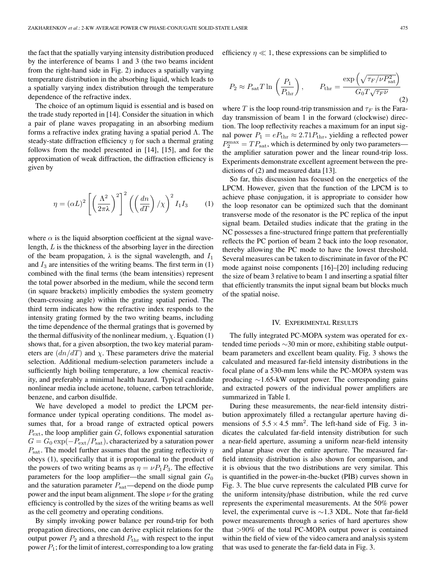the fact that the spatially varying intensity distribution produced by the interference of beams 1 and 3 (the two beams incident from the right-hand side in Fig. 2) induces a spatially varying temperature distribution in the absorbing liquid, which leads to a spatially varying index distribution through the temperature dependence of the refractive index.

The choice of an optimum liquid is essential and is based on the trade study reported in [14]. Consider the situation in which a pair of plane waves propagating in an absorbing medium forms a refractive index grating having a spatial period  $\Lambda$ . The steady-state diffraction efficiency  $\eta$  for such a thermal grating follows from the model presented in [14], [15], and for the approximation of weak diffraction, the diffraction efficiency is given by

$$
\eta = (\alpha L)^2 \left[ \left( \frac{\Lambda^2}{2\pi\lambda} \right)^2 \right]^2 \left( \left( \frac{dn}{dT} \right) / \chi \right)^2 I_1 I_3 \qquad (1)
$$

where  $\alpha$  is the liquid absorption coefficient at the signal wavelength, L is the thickness of the absorbing layer in the direction of the beam propagation,  $\lambda$  is the signal wavelength, and  $I_1$ and  $I_3$  are intensities of the writing beams. The first term in (1) combined with the final terms (the beam intensities) represent the total power absorbed in the medium, while the second term (in square brackets) implicitly embodies the system geometry (beam-crossing angle) within the grating spatial period. The third term indicates how the refractive index responds to the intensity grating formed by the two writing beams, including the time dependence of the thermal gratings that is governed by the thermal diffusivity of the nonlinear medium,  $\chi$ . Equation (1) shows that, for a given absorption, the two key material parameters are  $(dn/dT)$  and  $\chi$ . These parameters drive the material selection. Additional medium-selection parameters include a sufficiently high boiling temperature, a low chemical reactivity, and preferably a minimal health hazard. Typical candidate nonlinear media include acetone, toluene, carbon tetrachloride, benzene, and carbon disulfide.

We have developed a model to predict the LPCM performance under typical operating conditions. The model assumes that, for a broad range of extracted optical powers  $P_{\text{ext}}$ , the loop amplifier gain G, follows exponential saturation  $G = G_0 \exp(-P_{\text{ext}}/P_{\text{sat}})$ , characterized by a saturation power  $P_{\text{sat}}$ . The model further assumes that the grating reflectivity  $\eta$ obeys (1), specifically that it is proportional to the product of the powers of two writing beams as  $\eta = \nu P_1 P_3$ . The effective parameters for the loop amplifier—the small signal gain  $G_0$ and the saturation parameter  $P_{\text{sat}}$ —depend on the diode pump power and the input beam alignment. The slope  $\nu$  for the grating efficiency is controlled by the sizes of the writing beams as well as the cell geometry and operating conditions.

By simply invoking power balance per round-trip for both propagation directions, one can derive explicit relations for the output power  $P_2$  and a threshold  $P_{\text{thr}}$  with respect to the input power  $P_1$ ; for the limit of interest, corresponding to a low grating efficiency  $\eta \ll 1$ , these expressions can be simplified to

$$
P_2 \approx P_{\rm sat} T \ln \left( \frac{P_1}{P_{\rm thr}} \right), \qquad P_{\rm thr} = \frac{\exp \left( \sqrt{\tau_F / \nu P_{\rm sat}^2} \right)}{G_0 T \sqrt{\tau_F \nu}} \tag{2}
$$

where T is the loop round-trip transmission and  $\tau_F$  is the Faraday transmission of beam 1 in the forward (clockwise) direction. The loop reflectivity reaches a maximum for an input signal power  $P_1 = eP_{\text{thr}} \approx 2.71 P_{\text{thr}}$ , yielding a reflected power  $P_{2}^{\max} = TP_{\text{sat}}$ , which is determined by only two parameters the amplifier saturation power and the linear round-trip loss. Experiments demonstrate excellent agreement between the predictions of (2) and measured data [13].

So far, this discussion has focused on the energetics of the LPCM. However, given that the function of the LPCM is to achieve phase conjugation, it is appropriate to consider how the loop resonator can be optimized such that the dominant transverse mode of the resonator is the PC replica of the input signal beam. Detailed studies indicate that the grating in the NC possesses a fine-structured fringe pattern that preferentially reflects the PC portion of beam 2 back into the loop resonator, thereby allowing the PC mode to have the lowest threshold. Several measures can be taken to discriminate in favor of the PC mode against noise components [16]–[20] including reducing the size of beam 3 relative to beam 1 and inserting a spatial filter that efficiently transmits the input signal beam but blocks much of the spatial noise.

#### IV. EXPERIMENTAL RESULTS

The fully integrated PC-MOPA system was operated for extended time periods ∼30 min or more, exhibiting stable outputbeam parameters and excellent beam quality. Fig. 3 shows the calculated and measured far-field intensity distributions in the focal plane of a 530-mm lens while the PC-MOPA system was producing ∼1.65-kW output power. The corresponding gains and extracted powers of the individual power amplifiers are summarized in Table I.

During these measurements, the near-field intensity distribution approximately filled a rectangular aperture having dimensions of  $5.5 \times 4.5$  mm<sup>2</sup>. The left-hand side of Fig. 3 indicates the calculated far-field intensity distribution for such a near-field aperture, assuming a uniform near-field intensity and planar phase over the entire aperture. The measured farfield intensity distribution is also shown for comparison, and it is obvious that the two distributions are very similar. This is quantified in the power-in-the-bucket (PIB) curves shown in Fig. 3. The blue curve represents the calculated PIB curve for the uniform intensity/phase distribution, while the red curve represents the experimental measurements. At the 50% power level, the experimental curve is ∼1.3 XDL. Note that far-field power measurements through a series of hard apertures show that  $>90\%$  of the total PC-MOPA output power is contained within the field of view of the video camera and analysis system that was used to generate the far-field data in Fig. 3.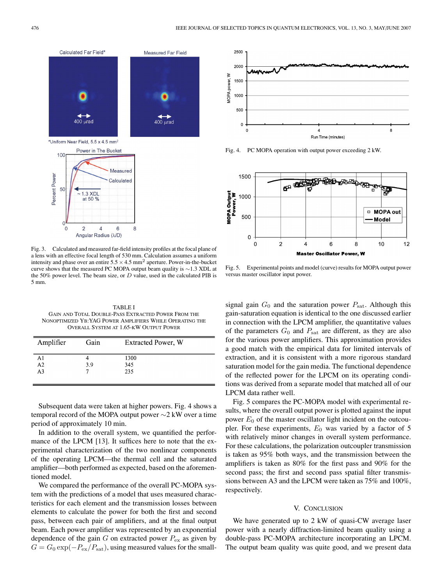

Fig. 3. Calculated and measured far-field intensity profiles at the focal plane of a lens with an effective focal length of 530 mm. Calculation assumes a uniform intensity and phase over an entire  $5.5 \times 4.5$  mm<sup>2</sup> aperture. Power-in-the-bucket curve shows that the measured PC MOPA output beam quality is ∼1.3 XDL at the 50% power level. The beam size, or  $D$  value, used in the calculated PIB is 5 mm.

TABLE I GAIN AND TOTAL DOUBLE-PASS EXTRACTED POWER FROM THE NONOPTIMIZED YB:YAG POWER AMPLIFIERS WHILE OPERATING THE OVERALL SYSTEM AT 1.65-KW OUTPUT POWER

| Amplifier      | Gain | <b>Extracted Power, W</b> |  |
|----------------|------|---------------------------|--|
| A <sub>1</sub> |      | 1300                      |  |
| A <sub>2</sub> | 3.9  | 345                       |  |
| A <sub>3</sub> |      | 235                       |  |
|                |      |                           |  |

Subsequent data were taken at higher powers. Fig. 4 shows a temporal record of the MOPA output power ∼2 kW over a time period of approximately 10 min.

In addition to the overall system, we quantified the performance of the LPCM [13]. It suffices here to note that the experimental characterization of the two nonlinear components of the operating LPCM—the thermal cell and the saturated amplifier—both performed as expected, based on the aforementioned model.

We compared the performance of the overall PC-MOPA system with the predictions of a model that uses measured characteristics for each element and the transmission losses between elements to calculate the power for both the first and second pass, between each pair of amplifiers, and at the final output beam. Each power amplifier was represented by an exponential dependence of the gain  $G$  on extracted power  $P_{\text{ex}}$  as given by  $G = G_0 \exp(-P_{\rm ex}/P_{\rm sat})$ , using measured values for the small-



Fig. 4. PC MOPA operation with output power exceeding 2 kW.



Fig. 5. Experimental points and model (curve) results for MOPA output power versus master oscillator input power.

signal gain  $G_0$  and the saturation power  $P_{\text{sat}}$ . Although this gain-saturation equation is identical to the one discussed earlier in connection with the LPCM amplifier, the quantitative values of the parameters  $G_0$  and  $P_{\text{sat}}$  are different, as they are also for the various power amplifiers. This approximation provides a good match with the empirical data for limited intervals of extraction, and it is consistent with a more rigorous standard saturation model for the gain media. The functional dependence of the reflected power for the LPCM on its operating conditions was derived from a separate model that matched all of our LPCM data rather well.

Fig. 5 compares the PC-MOPA model with experimental results, where the overall output power is plotted against the input power  $E_0$  of the master oscillator light incident on the outcoupler. For these experiments,  $E_0$  was varied by a factor of 5 with relatively minor changes in overall system performance. For these calculations, the polarization outcoupler transmission is taken as 95% both ways, and the transmission between the amplifiers is taken as 80% for the first pass and 90% for the second pass; the first and second pass spatial filter transmissions between A3 and the LPCM were taken as 75% and 100%, respectively.

## V. CONCLUSION

We have generated up to 2 kW of quasi-CW average laser power with a nearly diffraction-limited beam quality using a double-pass PC-MOPA architecture incorporating an LPCM. The output beam quality was quite good, and we present data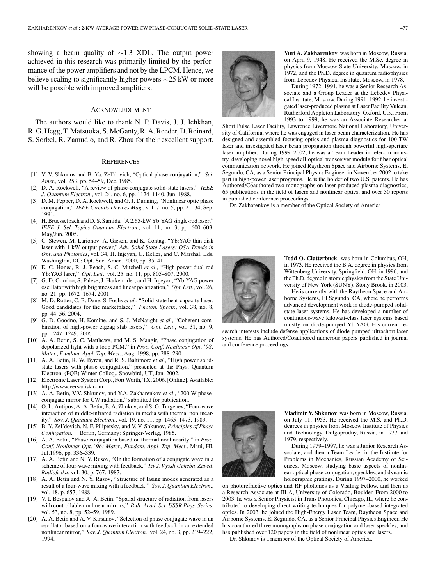showing a beam quality of ∼1.3 XDL. The output power achieved in this research was primarily limited by the performance of the power amplifiers and not by the LPCM. Hence, we believe scaling to significantly higher powers ∼25 kW or more will be possible with improved amplifiers.

## **ACKNOWLEDGMENT**

The authors would like to thank N. P. Davis, J. J. Ichkhan, R. G. Hegg, T. Matsuoka, S. McGanty, R. A. Reeder, D. Reinard, S. Sorbel, R. Zamudio, and R. Zhou for their excellent support.

#### **REFERENCES**

- [1] V. V. Shkunov and B. Ya. Zel'dovich, "Optical phase conjugation," *Sci. Amer.*, vol. 253, pp. 54–59, Dec. 1985.
- [2] D. A. Rockwell, "A review of phase-conjugate solid-state lasers," *IEEE J. Quantum Electron.*, vol. 24, no. 6, pp. 1124–1140, Jun. 1988.
- [3] D. M. Pepper, D. A. Rockwell, and G. J. Dunning, "Nonlinear optic phase conjugation," *IEEE Circuits Devices Mag.*, vol. 7, no. 5, pp. 21–34, Sep. 1991.
- [4] H. Bruesselbach and D. S. Sumida, "A 2.65-kW Yb: YAG single-rod laser." *IEEE J. Sel. Topics Quantum Electron.*, vol. 11, no. 3, pp. 600–603, May/Jun. 2005.
- [5] C. Stewen, M. Larionov, A. Giesen, and K. Contag, "Yb:YAG thin disk laser with 1 kW output power," *Adv. Solid-State Lasers: OSA Trends in Opt. and Photonics*, vol. 34, H. Injeyan, U. Keller, and C. Marshal, Eds. Washington, DC: Opt. Soc. Amer., 2000, pp. 35–41.
- [6] E. C. Honea, R. J. Beach, S. C. Mitchell *et al.*, "High-power dual-rod Yb:YAG laser," *Opt. Lett.*, vol. 25, no. 11, pp. 805–807, 2000.
- [7] G. D. Goodno, S. Palese, J. Harkenrider, and H. Injeyan, "Yb:YAG power oscillator with high brightness and linear polarization," *Opt. Lett.*, vol. 26, no. 21, pp. 1672–1674, 2001.
- [8] M. D. Rotter, C. B. Dane, S. Fochs *et al.*, "Solid-state heat-capacity laser: Good candidates for the marketplace," *Photon. Spectr.*, vol. 38, no. 8, pp. 44–56, 2004.
- [9] G. D. Goodno, H. Komine, and S. J. McNaught *et al.*, "Coherent combination of high-power zigzag slab lasers," *Opt. Lett.*, vol. 31, no. 9, pp. 1247–1249, 2006.
- [10] A. A. Betin, S. C. Matthews, and M. S. Mangir, "Phase conjugation of depolarized light with a loop PCM," in *Proc. Conf. Nonlinear Opt. '98: Mater., Fundam. Appl. Top. Meet.*, Aug. 1998, pp. 288–290.
- [11] A. A. Betin, R. W. Byren, and R. S. Baltimore *et al.*, "High power solidstate lasers with phase conjugation," presented at the Phys. Quantum Electron. (PQE) Winter Colloq., Snowbird, UT, Jan. 2002.
- [12] Electronic Laser System Corp., Fort Worth, TX, 2006. [Online]. Available: http://www.versadisk.com
- [13] A. A. Betin, V.V. Shkunov, and Y.A. Zakharenkov et al., "200 W phaseconjugate mirror for CW radiation," submitted for publication.
- [14] O. L. Antipov, A. A. Betin, E. A. Zhukov, and S. G. Turgenev, "Four-wave interaction of middle-infrared radiation in media with thermal nonlinearity," *Sov. J. Quantum Electron.*, vol. 19, no. 11, pp. 1465–1473, 1989.
- [15] B. Y. Zel'dovich, N. F. Pilipetsky, and V. V. Shkunov, *Principles of Phase Conjugation*. Berlin, Germany: Springer-Verlag, 1985.
- [16] A. A. Betin, "Phase conjugation based on thermal nonlinearity," in *Proc. Conf. Nonlinear Opt. '96: Mater., Fundam. Appl. Top. Meet.*, Maui, HI, Jul.1996, pp. 336–339.
- [17] A. A. Betin and N. Y. Rusov, "On the formation of a conjugate wave in a scheme of four-wave mixing with feedback," *Izv J. Vyssh.Uchebn. Zaved, Radiofizika*, vol. 30, p. 767, 1987.
- [18] A. A. Betin and N. Y. Rusov, "Structure of lasing modes generated as a result of a four-wave mixing with a feedback," *Sov. J. Quantum Electron.*, vol. 18, p. 657, 1988.
- [19] V. I. Bespalov and A. A. Betin, "Spatial structure of radiation from lasers with controllable nonlinear mirrors," *Bull. Acad. Sci. USSR Phys. Series*, vol. 53, no. 8, pp. 52–59, 1989.
- [20] A. A. Betin and A. V. Kirsanov, "Selection of phase conjugate wave in an oscillator based on a four-wave interaction with feedback in an extended nonlinear mirror," *Sov. J. Quantum Electron.*, vol. 24, no. 3, pp. 219–222, 1994.



**Yuri A. Zakharenkov** was born in Moscow, Russia, on April 9, 1948. He received the M.Sc. degree in physics from Moscow State University, Moscow, in 1972, and the Ph.D. degree in quantum radiophysics from Lebedev Physical Institute, Moscow, in 1978.

During 1972–1991, he was a Senior Research Associate and a Group Leader at the Lebedev Physical Institute, Moscow. During 1991–1992, he investigated laser-produced plasma at Laser Facility Vulcan, Rutherford Appleton Laboratory, Oxford, U.K. From 1993 to 1999, he was an Associate Researcher at

Short Pulse Laser Facility, Lawrence Livermore National Laboratory, University of California, where he was engaged in laser beam characterization. He has designed and assembled focusing optics and plasma diagnostics for 100-TW laser and investigated laser beam propagation through powerful high-aperture laser amplifier. During 1999–2002, he was a Team Leader in telecom industry, developing novel high-speed all-optical transceiver module for fiber optical communication network. He joined Raytheon Space and Airborne Systems, El Segundo, CA, as a Senior Principal Physics Engineer in November 2002 to take part in high-power laser programs. He is the holder of two U.S. patents. He has Authored/Coauthored two monographs on laser-produced plasma diagnostics, 65 publications in the field of lasers and nonlinear optics, and over 30 reports in published conference proceedings.

Dr. Zakharenkov is a member of the Optical Society of America



**Todd O. Clatterbuck** was born in Columbus, OH, in 1973. He received the B.A. degree in physics from Wittenberg University, Springfield, OH, in 1996, and the Ph.D. degree in atomic physics from the State University of New York (SUNY), Stony Brook, in 2003.

He is currently with the Raytheon Space and Airborne Systems, El Segundo, CA, where he performs advanced development work in diode-pumped solidstate laser systems. He has developed a number of continuous-wave kilowatt-class laser systems based mostly on diode-pumped Yb:YAG. His current re-

search interests include defense applications of diode-pumped ultrashort laser systems. He has Authored/Coauthored numerous papers published in journal and conference proceedings.



**Vladimir V. Shkunov** was born in Moscow, Russia, on July 11, 1953. He received the M.S. and Ph.D. degrees in physics from Moscow Institute of Physics and Technology, Dolgoprudny, Russia, in 1977 and 1979, respectively.

During 1979–1997, he was a Junior Research Associate, and then a Team Leader in the Institute for Problems in Mechanics, Russian Academy of Sciences, Moscow, studying basic aspects of nonlinear optical phase conjugation, speckles, and dynamic holographic gratings. During 1997–2000, he worked

on photorefractive optics and RF photonics as a Visiting Fellow, and then as a Research Associate at JILA, University of Colorado, Boulder. From 2000 to 2003, he was a Senior Physicist in Trans Photonics, Chicago, IL, where he contributed to developing direct writing techniques for polymer-based integrated optics. In 2003, he joined the High-Energy Laser Team, Raytheon Space and Airborne Systems, El Segundo, CA, as a Senior Principal Physics Engineer. He has coauthored three monographs on phase conjugation and laser speckles, and has published over 120 papers in the field of nonlinear optics and lasers.

Dr. Shkunov is a member of the Optical Society of America.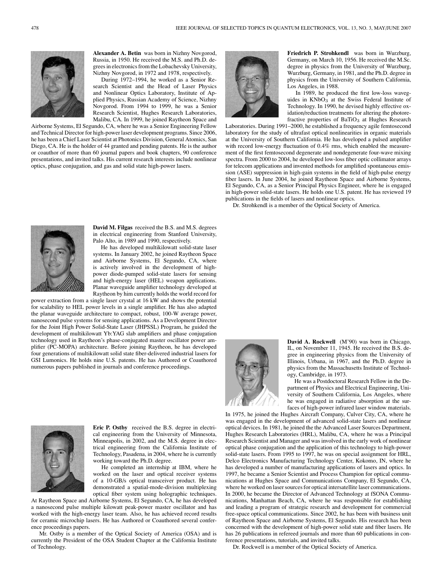

**Alexander A. Betin** was born in Nizhny Novgorod, Russia, in 1950. He received the M.S. and Ph.D. degrees in electronics from the Lobachevsky University, Nizhny Novgorod, in 1972 and 1978, respectively.

During 1972–1994, he worked as a Senior Research Scientist and the Head of Laser Physics and Nonlinear Optics Laboratory, Institute of Applied Physics, Russian Academy of Science, Nizhny Novgorod. From 1994 to 1999, he was a Senior Research Scientist, Hughes Research Laboratories, Malibu, CA. In 1999, he joined Raytheon Space and

Airborne Systems, El Segundo, CA, where he was a Senior Engineering Fellow and Technical Director for high-power laser development programs. Since 2006, he has been a Chief Laser Scientist at Photonics Division, General Atomics, San Diego, CA. He is the holder of 44 granted and pending patents. He is the author or coauthor of more than 60 journal papers and book chapters, 90 conference presentations, and invited talks. His current research interests include nonlinear optics, phase conjugation, and gas and solid state high-power lasers.



**Friedrich P. Strohkendl** was born in Wurzburg, Germany, on March 10, 1956. He received the M.Sc. degree in physics from the University of Wurzburg, Wurzburg, Germany, in 1981, and the Ph.D. degree in physics from the University of Southern California, Los Angeles, in 1988.

In 1989, he produced the first low-loss waveguides in  $KNbO<sub>3</sub>$  at the Swiss Federal Institute of Technology. In 1990, he devised highly effective oxidation/reduction treatments for altering the photorefractive properties of  $BaTiO<sub>3</sub>$  at Hughes Research

Laboratories. During 1991–2000, he established a frequency agile femtosecond laboratory for the study of ultrafast optical nonlinearities in organic materials at the University of Southern California. He has developed a pulsed amplifier with record low-energy fluctuation of 0.4% rms, which enabled the measurement of the first femtosecond degenerate and nondegenerate four-wave mixing spectra. From 2000 to 2004, he developed low-loss fiber optic collimator arrays for telecom applications and invented methods for amplified spontaneous emission (ASE) suppression in high-gain systems in the field of high-pulse energy fiber lasers. In June 2004, he joined Raytheon Space and Airborne Systems, El Segundo, CA, as a Senior Principal Physics Engineer, where he is engaged in high-power solid-state lasers. He holds one U.S. patent. He has reviewed 19 publications in the fields of lasers and nonlinear optics.

Dr. Strohkendl is a member of the Optical Society of America.



**David M. Filgas** received the B.S. and M.S. degrees in electrical engineering from Stanford University, Palo Alto, in 1989 and 1990, respectively.

He has developed multikilowatt solid-state laser systems. In January 2002, he joined Raytheon Space and Airborne Systems, El Segundo, CA, where is actively involved in the development of highpower diode-pumped solid-state lasers for sensing and high-energy laser (HEL) weapon applications. Planar waveguide amplifier technology developed at Raytheon by him currently holds the world record for

power extraction from a single laser crystal at 16 kW and shows the potential for scalability to HEL power levels in a single amplifier. He has also adapted the planar waveguide architecture to compact, robust, 100-W average power, nanosecond pulse systems for sensing applications. As a Development Director for the Joint High Power Solid-State Laser (JHPSSL) Program, he guided the development of multikilowatt Yb:YAG slab amplifiers and phase conjugation technology used in Raytheon's phase-conjugated master oscillator power amplifier (PC-MOPA) architecture. Before joining Raytheon, he has developed four generations of multikilowatt solid state fiber-delivered industrial lasers for GSI Lumonics. He holds nine U.S. patents. He has Authored or Coauthored numerous papers published in journals and conference proceedings.



**David A. Rockwell** (M'90) was born in Chicago, IL, on November 11, 1945. He received the B.S. degree in engineering physics from the University of Illinois, Urbana, in 1967, and the Ph.D. degree in physics from the Massachusetts Institute of Technology, Cambridge, in 1973.

He was a Postdoctoral Research Fellow in the Department of Physics and Electrical Engineering, University of Southern California, Los Angeles, where he was engaged in radiative absorption at the surfaces of high-power infrared laser window materials.

In 1975, he joined the Hughes Aircraft Company, Culver City, CA, where he was engaged in the development of advanced solid-state lasers and nonlinear optical devices. In 1981, he joined the the Advanced Laser Sources Department, Hughes Research Laboratories (HRL), Malibu, CA, where he was a Principal Research Scientist and Manager and was involved in the early work of nonlinear optical phase conjugation and the application of this technology to high-power solid-state lasers. From 1995 to 1997, he was on special assignment for HRL, Delco Electronics Manufacturing Technology Center, Kokomo, IN, where he has developed a number of manufacturing applications of lasers and optics. In 1997, he became a Senior Scientist and Process Champion for optical communications at Hughes Space and Communications Company, El Segundo, CA, where he worked on laser sources for optical intersatellite laser communications. In 2000, he became the Director of Advanced Technology at fSONA Communications, Manhattan Beach, CA, where he was responsible for establishing and leading a program of strategic research and development for commercial free-space optical communications. Since 2002, he has been with business unit of Raytheon Space and Airborne Systems, El Segundo. His research has been concerned with the development of high-power solid state and fiber lasers. He has 26 publications in refereed journals and more than 60 publications in conference presentations, tutorials, and invited talks.

Dr. Rockwell is a member of the Optical Society of America.



**Eric P. Ostby** received the B.S. degree in electrical engineering from the University of Minnesota, Minneapolis, in 2002, and the M.S. degree in electrical engineering from the California Institute of Technology, Pasadena, in 2004, where he is currently working toward the Ph.D. degree.

He completed an internship at IBM, where he worked on the laser and optical receiver systems of a 10-GB/s optical transceiver product. He has demonstrated a spatial-mode-division multiplexing optical fiber system using holographic techniques.

At Raytheon Space and Airborne Systems, El Segundo, CA, he has developed a nanosecond pulse multiple kilowatt peak-power master oscillator and has worked with the high-energy laser team. Also, he has achieved record results for ceramic microchip lasers. He has Authored or Coauthored several conference proceedings papers.

Mr. Ostby is a member of the Optical Society of America (OSA) and is currently the President of the OSA Student Chapter at the California Institute of Technology.